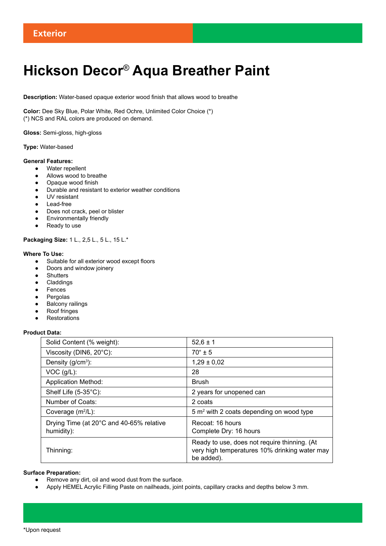# **Hickson Decor**® **Aqua Breather Paint**

**Description:** Water-based opaque exterior wood finish that allows wood to breathe

**Color:** Dee Sky Blue, Polar White, Red Ochre, Unlimited Color Choice (\*) (\*) NCS and RAL colors are produced on demand.

**Gloss:** Semi-gloss, high-gloss

## **Type:** Water-based

## **General Features:**

- Water repellent
- Allows wood to breathe
- Opaque wood finish
- Durable and resistant to exterior weather conditions
- UV resistant
- Lead-free
- Does not crack, peel or blister
- Environmentally friendly
- Ready to use

**Packaging Size:** 1 L., 2,5 L., 5 L., 15 L.\*

# **Where To Use:**

- Suitable for all exterior wood except floors
- Doors and window joinery
- Shutters
- Claddings
- Fences
- Pergolas
- **Balcony railings**
- **Roof fringes**
- Restorations

# **Product Data:**

| Solid Content (% weight):                              | $52,6 \pm 1$                                                                                                |
|--------------------------------------------------------|-------------------------------------------------------------------------------------------------------------|
| Viscosity (DIN6, 20°C):                                | $70^{\circ}$ + 5                                                                                            |
| Density $(g/cm3)$ :                                    | $1,29 \pm 0,02$                                                                                             |
| $VOC$ ( $g/L$ ):                                       | 28                                                                                                          |
| <b>Application Method:</b>                             | <b>Brush</b>                                                                                                |
| Shelf Life (5-35°C):                                   | 2 years for unopened can                                                                                    |
| Number of Coats:                                       | 2 coats                                                                                                     |
| Coverage $(m^2/L)$ :                                   | $5 \text{ m}^2$ with 2 coats depending on wood type                                                         |
| Drying Time (at 20°C and 40-65% relative<br>humidity): | Recoat: 16 hours<br>Complete Dry: 16 hours                                                                  |
| Thinning:                                              | Ready to use, does not require thinning. (At<br>very high temperatures 10% drinking water may<br>be added). |

# **Surface Preparation:**

- Remove any dirt, oil and wood dust from the surface.
- Apply HEMEL Acrylic Filling Paste on nailheads, joint points, capillary cracks and depths below 3 mm.